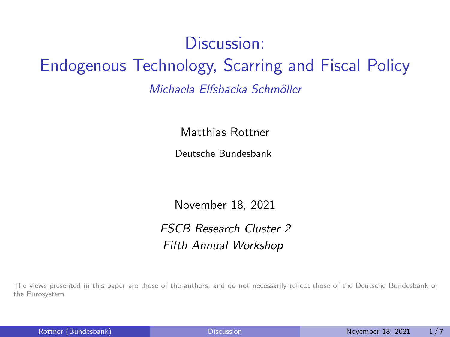# <span id="page-0-0"></span>Discussion: Endogenous Technology, Scarring and Fiscal Policy Michaela Elfsbacka Schmöller

Matthias Rottner

Deutsche Bundesbank

November 18, 2021

ESCB Research Cluster 2 Fifth Annual Workshop

The views presented in this paper are those of the authors, and do not necessarily reflect those of the Deutsche Bundesbank or the Eurosystem.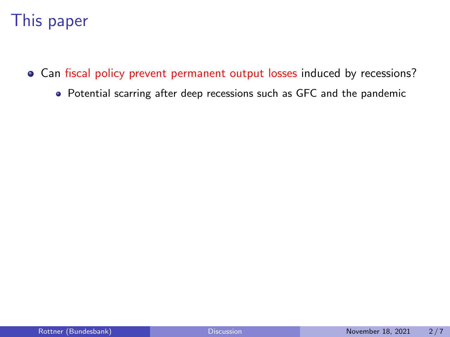## This paper

- Can fiscal policy prevent permanent output losses induced by recessions?
	- Potential scarring after deep recessions such as GFC and the pandemic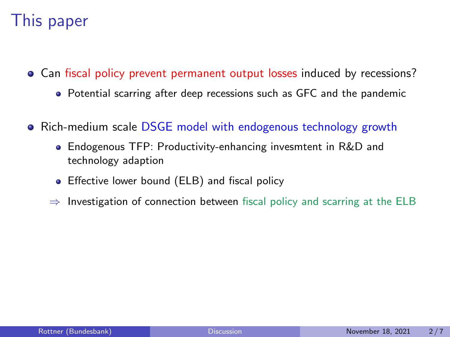## This paper

- Can fiscal policy prevent permanent output losses induced by recessions?
	- Potential scarring after deep recessions such as GFC and the pandemic
- Rich-medium scale DSGE model with endogenous technology growth
	- Endogenous TFP: Productivity-enhancing invesmtent in R&D and technology adaption
	- **•** Effective lower bound (ELB) and fiscal policy
	- $\Rightarrow$  Investigation of connection between fiscal policy and scarring at the ELB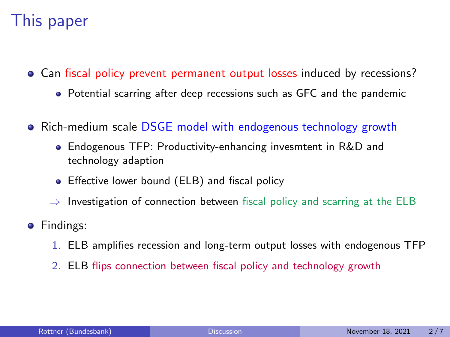## This paper

- Can fiscal policy prevent permanent output losses induced by recessions?
	- Potential scarring after deep recessions such as GFC and the pandemic
- Rich-medium scale DSGE model with endogenous technology growth
	- Endogenous TFP: Productivity-enhancing invesmtent in R&D and technology adaption
	- **•** Effective lower bound (ELB) and fiscal policy
	- $\Rightarrow$  Investigation of connection between fiscal policy and scarring at the ELB
- **•** Findings:
	- 1. ELB amplifies recession and long-term output losses with endogenous TFP
	- 2. ELB flips connection between fiscal policy and technology growth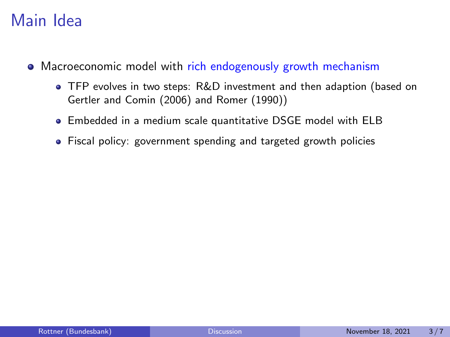### Main Idea

- Macroeconomic model with rich endogenously growth mechanism
	- TFP evolves in two steps: R&D investment and then adaption (based on Gertler and Comin (2006) and Romer (1990))
	- Embedded in a medium scale quantitative DSGE model with ELB
	- Fiscal policy: government spending and targeted growth policies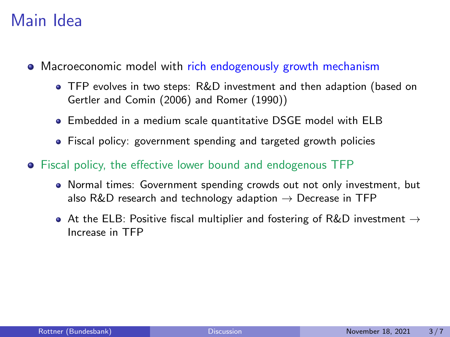### Main Idea

- Macroeconomic model with rich endogenously growth mechanism
	- TFP evolves in two steps: R&D investment and then adaption (based on Gertler and Comin (2006) and Romer (1990))
	- Embedded in a medium scale quantitative DSGE model with ELB
	- Fiscal policy: government spending and targeted growth policies
- Fiscal policy, the effective lower bound and endogenous TFP
	- Normal times: Government spending crowds out not only investment, but also R&D research and technology adaption  $\rightarrow$  Decrease in TFP
	- $\bullet$  At the ELB: Positive fiscal multiplier and fostering of R&D investment  $\rightarrow$ Increase in TFP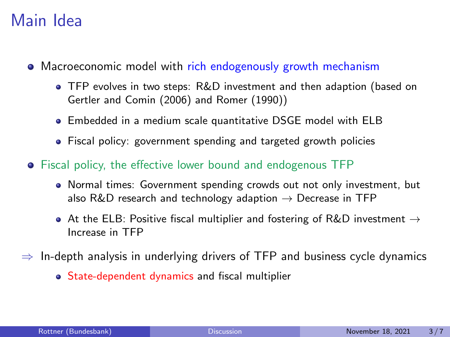### Main Idea

- Macroeconomic model with rich endogenously growth mechanism
	- TFP evolves in two steps: R&D investment and then adaption (based on Gertler and Comin (2006) and Romer (1990))
	- Embedded in a medium scale quantitative DSGE model with ELB
	- Fiscal policy: government spending and targeted growth policies
- Fiscal policy, the effective lower bound and endogenous TFP
	- Normal times: Government spending crowds out not only investment, but also R&D research and technology adaption  $\rightarrow$  Decrease in TFP
	- At the ELB: Positive fiscal multiplier and fostering of R&D investment  $\rightarrow$ Increase in TFP
- $\Rightarrow$  In-depth analysis in underlying drivers of TFP and business cycle dynamics
	- State-dependent dynamics and fiscal multiplier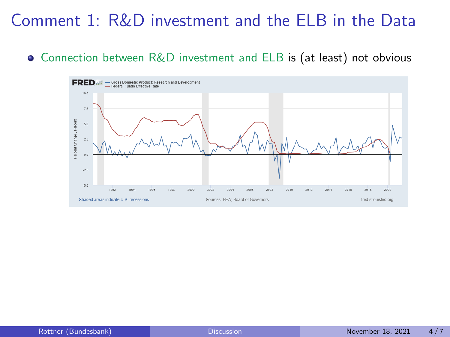## Comment 1: R&D investment and the ELB in the Data

#### Connection between R&D investment and ELB is (at least) not obvious

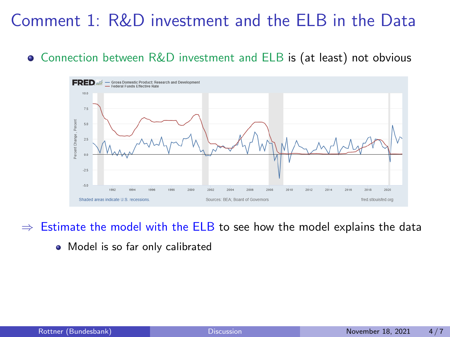## Comment 1: R&D investment and the ELB in the Data

#### Connection between R&D investment and ELB is (at least) not obvious



 $\Rightarrow$  Estimate the model with the ELB to see how the model explains the data

• Model is so far only calibrated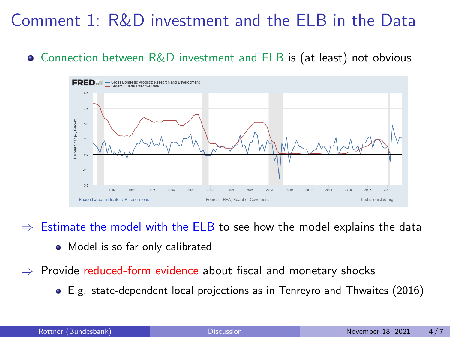## Comment 1: R&D investment and the ELB in the Data

#### $\bullet$  Connection between R&D investment and ELB is (at least) not obvious



 $\Rightarrow$  Estimate the model with the ELB to see how the model explains the data

- Model is so far only calibrated
- $\Rightarrow$  Provide reduced-form evidence about fiscal and monetary shocks
	- E.g. state-dependent local projections as in Tenreyro and Thwaites (2016)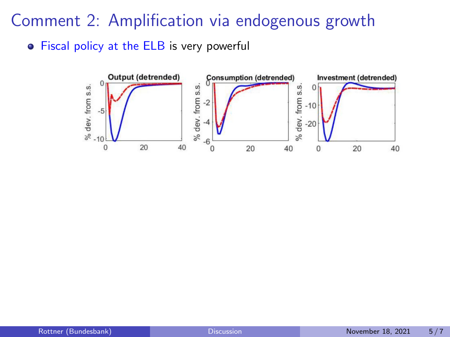Comment 2: Amplification via endogenous growth

**•** Fiscal policy at the ELB is very powerful

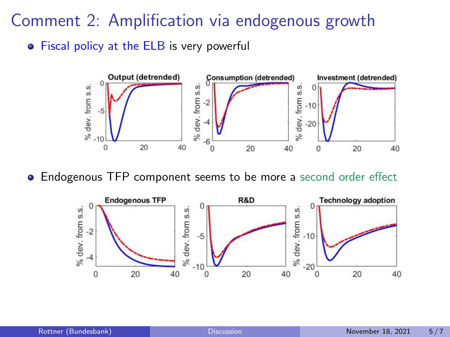Comment 2: Amplification via endogenous growth

**•** Fiscal policy at the ELB is very powerful



Endogenous TFP component seems to be more a second order effect

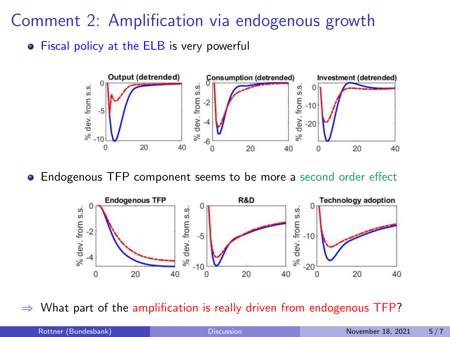Comment 2: Amplification via endogenous growth

**•** Fiscal policy at the ELB is very powerful



Endogenous TFP component seems to be more a second order effect



What part of the amplification is really driven from endogenous TFP?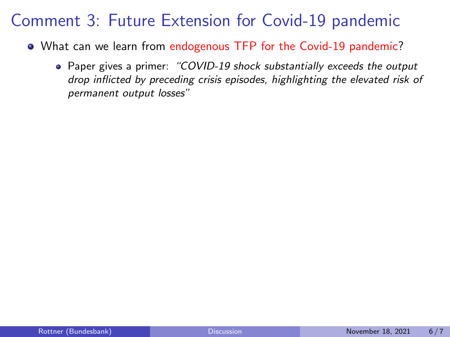### Comment 3: Future Extension for Covid-19 pandemic

- What can we learn from endogenous TFP for the Covid-19 pandemic?
	- Paper gives a primer: "COVID-19 shock substantially exceeds the output drop inflicted by preceding crisis episodes, highlighting the elevated risk of permanent output losses"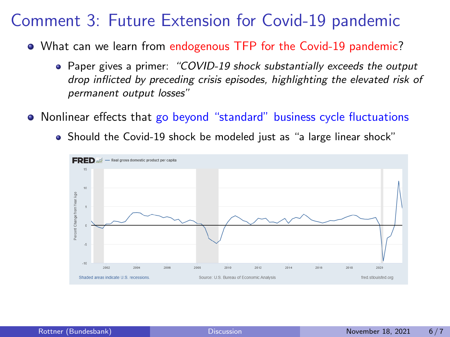### Comment 3: Future Extension for Covid-19 pandemic

- What can we learn from endogenous TFP for the Covid-19 pandemic?
	- Paper gives a primer: "COVID-19 shock substantially exceeds the output drop inflicted by preceding crisis episodes, highlighting the elevated risk of permanent output losses"
- Nonlinear effects that go beyond "standard" business cycle fluctuations
	- Should the Covid-19 shock be modeled just as "a large linear shock"

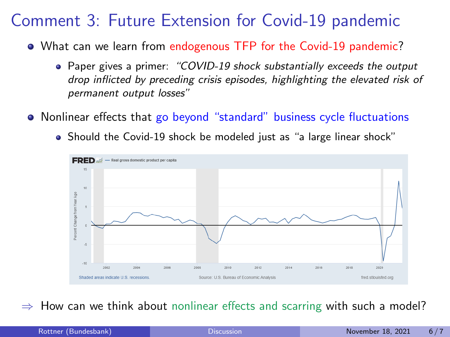### Comment 3: Future Extension for Covid-19 pandemic

- What can we learn from endogenous TFP for the Covid-19 pandemic?
	- Paper gives a primer: "COVID-19 shock substantially exceeds the output drop inflicted by preceding crisis episodes, highlighting the elevated risk of permanent output losses"
- Nonlinear effects that go beyond "standard" business cycle fluctuations
	- Should the Covid-19 shock be modeled just as "a large linear shock"



How can we think about nonlinear effects and scarring with such a model?